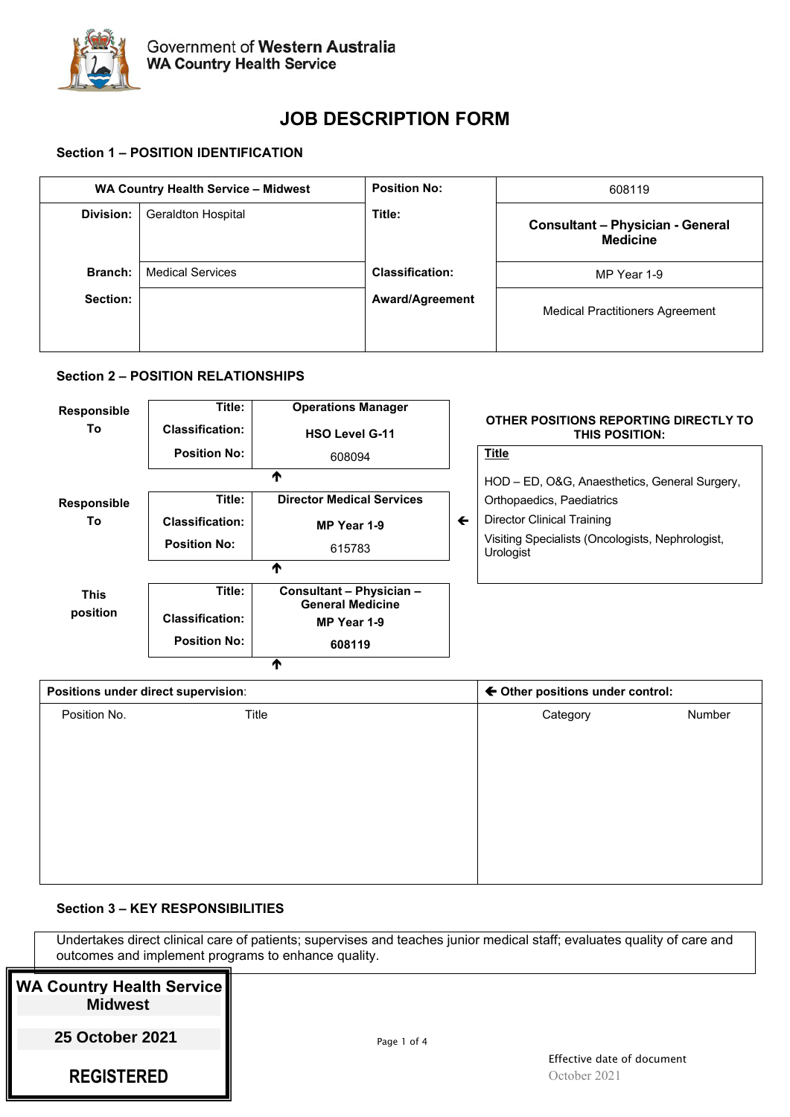

# **JOB DESCRIPTION FORM**

# **Section 1 – POSITION IDENTIFICATION**

| WA Country Health Service - Midwest |                           | <b>Position No:</b>    | 608119                                                     |
|-------------------------------------|---------------------------|------------------------|------------------------------------------------------------|
| Division:                           | <b>Geraldton Hospital</b> | Title:                 | <b>Consultant - Physician - General</b><br><b>Medicine</b> |
| Branch:                             | <b>Medical Services</b>   | <b>Classification:</b> | MP Year 1-9                                                |
| Section:                            |                           | <b>Award/Agreement</b> | <b>Medical Practitioners Agreement</b>                     |

## **Section 2 – POSITION RELATIONSHIPS**

| <b>Responsible</b><br>To | Title:<br><b>Classification:</b> | <b>Operations Manager</b><br><b>HSO Level G-11</b>                 |              | OTHER POSITIONS REPORTING DIRECTLY TO<br><b>THIS POSITION:</b> |
|--------------------------|----------------------------------|--------------------------------------------------------------------|--------------|----------------------------------------------------------------|
|                          | <b>Position No:</b>              | 608094                                                             |              | <b>Title</b>                                                   |
|                          |                                  | Т                                                                  |              | HOD - ED, O&G, Anaesthetics, General Surgery,                  |
| <b>Responsible</b>       | Title:                           | <b>Director Medical Services</b>                                   |              | Orthopaedics, Paediatrics                                      |
| To                       | <b>Classification:</b>           | MP Year 1-9                                                        | $\leftarrow$ | Director Clinical Training                                     |
|                          | <b>Position No:</b>              | 615783                                                             |              | Visiting Specialists (Oncologists, Nephrologist,<br>Urologist  |
|                          |                                  | ₼                                                                  |              |                                                                |
| <b>This</b><br>position  | Title:<br><b>Classification:</b> | Consultant - Physician -<br><b>General Medicine</b><br>MP Year 1-9 |              |                                                                |
|                          | <b>Position No:</b>              | 608119                                                             |              |                                                                |

| Positions under direct supervision: |       | ← Other positions under control: |        |
|-------------------------------------|-------|----------------------------------|--------|
| Position No.                        | Title | Category                         | Number |
|                                     |       |                                  |        |
|                                     |       |                                  |        |
|                                     |       |                                  |        |
|                                     |       |                                  |        |
|                                     |       |                                  |        |
|                                     |       |                                  |        |
|                                     |       |                                  |        |
|                                     |       |                                  |        |

# **Section 3 – KEY RESPONSIBILITIES**

Undertakes direct clinical care of patients; supervises and teaches junior medical staff; evaluates quality of care and outcomes and implement programs to enhance quality.

| WA Country Health Service   <br><b>Midwest</b> |             |                                      |
|------------------------------------------------|-------------|--------------------------------------|
| <b>25 October 2021</b>                         | Page 1 of 4 |                                      |
| <b>REGISTERED</b>                              |             | Effective date of do<br>October 2021 |

 $\overline{\textbf{r}}$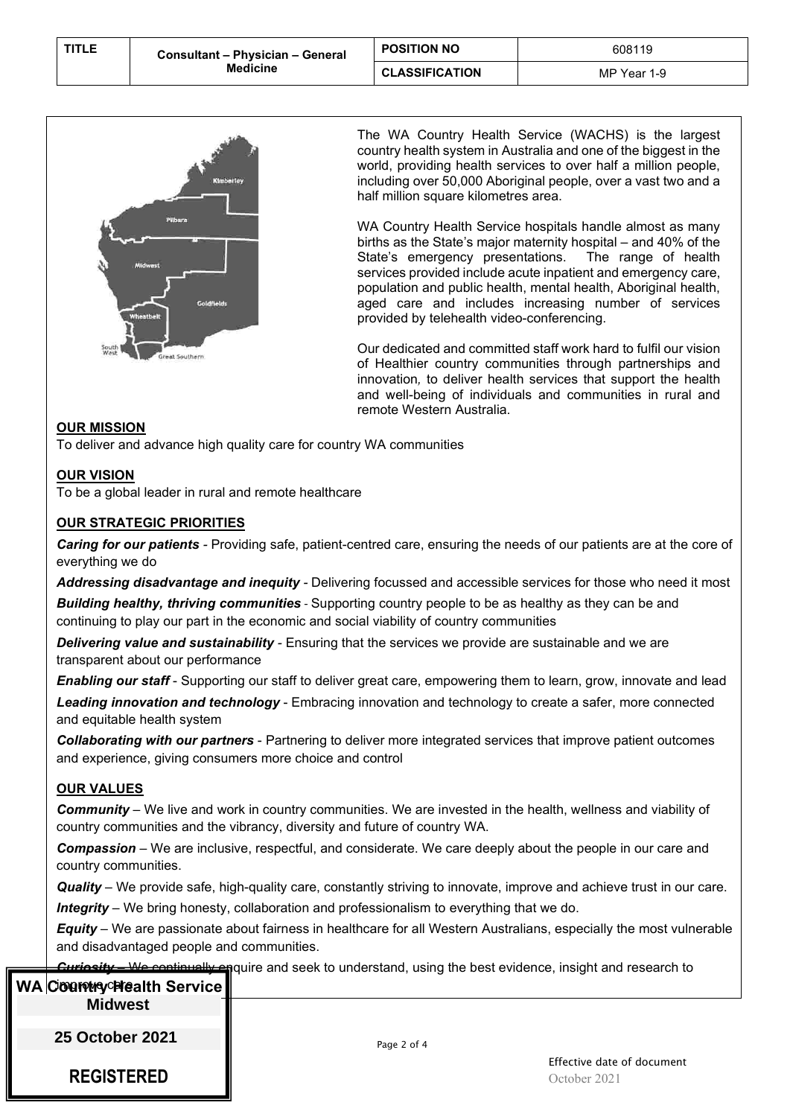| <b>TITLE</b> | Consultant - Physician - General<br><b>Medicine</b> | <b>POSITION NO</b>    | 608119      |
|--------------|-----------------------------------------------------|-----------------------|-------------|
|              |                                                     | <b>CLASSIFICATION</b> | MP Year 1-9 |



The WA Country Health Service (WACHS) is the largest country health system in Australia and one of the biggest in the world, providing health services to over half a million people, including over 50,000 Aboriginal people, over a vast two and a half million square kilometres area.

WA Country Health Service hospitals handle almost as many births as the State's major maternity hospital – and 40% of the State's emergency presentations. services provided include acute inpatient and emergency care, population and public health, mental health, Aboriginal health, aged care and includes increasing number of services provided by telehealth video-conferencing.

Our dedicated and committed staff work hard to fulfil our vision of Healthier country communities through partnerships and innovation*,* to deliver health services that support the health and well-being of individuals and communities in rural and remote Western Australia.

## **OUR MISSION**

To deliver and advance high quality care for country WA communities

## **OUR VISION**

To be a global leader in rural and remote healthcare

#### **OUR STRATEGIC PRIORITIES**

*Caring for our patients -* Providing safe, patient-centred care, ensuring the needs of our patients are at the core of everything we do

*Addressing disadvantage and inequity -* Delivering focussed and accessible services for those who need it most **Building healthy, thriving communities** - Supporting country people to be as healthy as they can be and continuing to play our part in the economic and social viability of country communities

*Delivering value and sustainability -* Ensuring that the services we provide are sustainable and we are transparent about our performance

*Enabling our staff* - Supporting our staff to deliver great care, empowering them to learn, grow, innovate and lead

*Leading innovation and technology* - Embracing innovation and technology to create a safer, more connected and equitable health system

*Collaborating with our partners* - Partnering to deliver more integrated services that improve patient outcomes and experience, giving consumers more choice and control

#### **OUR VALUES**

*Community* – We live and work in country communities. We are invested in the health, wellness and viability of country communities and the vibrancy, diversity and future of country WA.

*Compassion* – We are inclusive, respectful, and considerate. We care deeply about the people in our care and country communities.

*Quality* – We provide safe, high-quality care, constantly striving to innovate, improve and achieve trust in our care. *Integrity* – We bring honesty, collaboration and professionalism to everything that we do.

*Equity* – We are passionate about fairness in healthcare for all Western Australians, especially the most vulnerable and disadvantaged people and communities.

**Courianty and seek to understand, using the best evidence, insight and research to and research to and research to** 

| WA Country Stealth Service | pairo ana occi, lo anacrolana, aoing tho bool oviachoo, moight ana roocaron lo |
|----------------------------|--------------------------------------------------------------------------------|
| <b>Midwest</b>             |                                                                                |
| <b>25 October 2021</b>     | Page 2 of 4                                                                    |
| <b>REGISTERED</b>          | Effective date of document<br>October 2021                                     |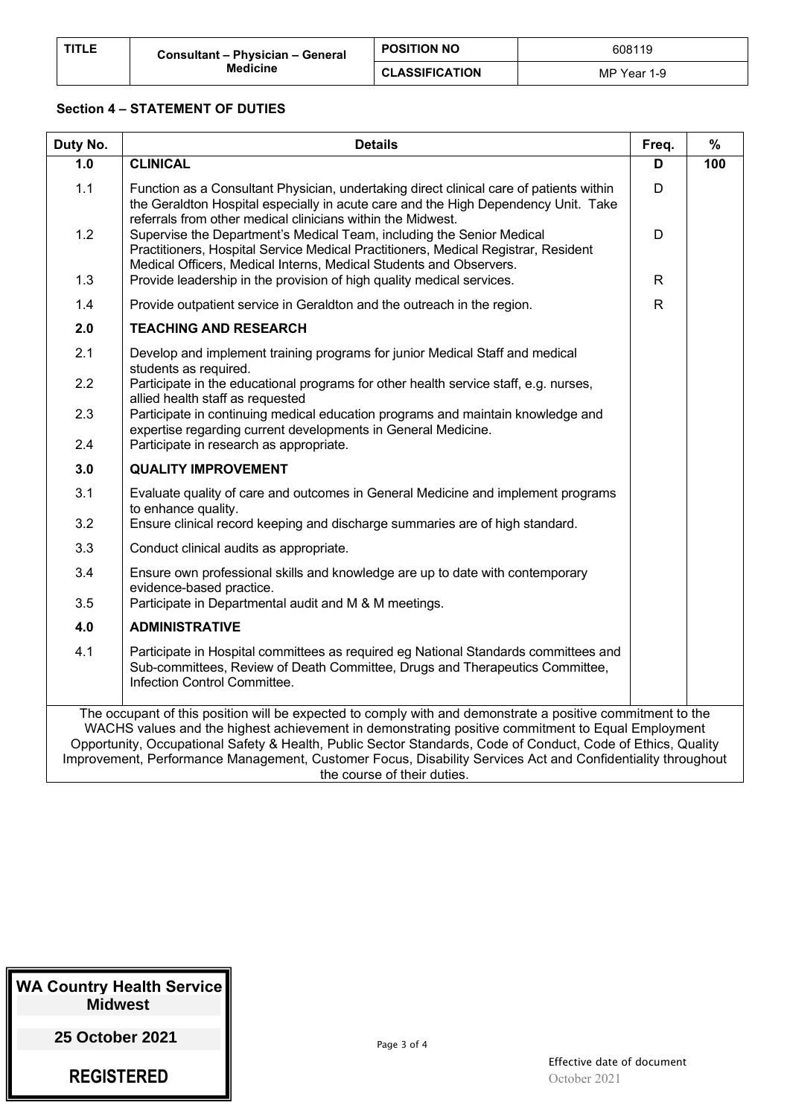| <b>TITLE</b> | Consultant - Physician - General<br><b>Medicine</b> | <b>POSITION NO</b>    | 608119      |
|--------------|-----------------------------------------------------|-----------------------|-------------|
|              |                                                     | <b>CLASSIFICATION</b> | MP Year 1-9 |

## **Section 4 – STATEMENT OF DUTIES**

| Duty No. | <b>Details</b>                                                                                                                                                                                                                                                                                                                                                                                                                                                                | Freq.        | $\%$ |
|----------|-------------------------------------------------------------------------------------------------------------------------------------------------------------------------------------------------------------------------------------------------------------------------------------------------------------------------------------------------------------------------------------------------------------------------------------------------------------------------------|--------------|------|
| 1.0      | <b>CLINICAL</b>                                                                                                                                                                                                                                                                                                                                                                                                                                                               | D            | 100  |
| 1.1      | Function as a Consultant Physician, undertaking direct clinical care of patients within<br>the Geraldton Hospital especially in acute care and the High Dependency Unit. Take<br>referrals from other medical clinicians within the Midwest.                                                                                                                                                                                                                                  | D            |      |
| 1.2      | Supervise the Department's Medical Team, including the Senior Medical<br>Practitioners, Hospital Service Medical Practitioners, Medical Registrar, Resident<br>Medical Officers, Medical Interns, Medical Students and Observers.                                                                                                                                                                                                                                             | D            |      |
| 1.3      | Provide leadership in the provision of high quality medical services.                                                                                                                                                                                                                                                                                                                                                                                                         | $\mathsf{R}$ |      |
| 1.4      | Provide outpatient service in Geraldton and the outreach in the region.                                                                                                                                                                                                                                                                                                                                                                                                       | $\mathsf{R}$ |      |
| 2.0      | <b>TEACHING AND RESEARCH</b>                                                                                                                                                                                                                                                                                                                                                                                                                                                  |              |      |
| 2.1      | Develop and implement training programs for junior Medical Staff and medical<br>students as required.                                                                                                                                                                                                                                                                                                                                                                         |              |      |
| 2.2      | Participate in the educational programs for other health service staff, e.g. nurses,<br>allied health staff as requested                                                                                                                                                                                                                                                                                                                                                      |              |      |
| 2.3      | Participate in continuing medical education programs and maintain knowledge and<br>expertise regarding current developments in General Medicine.                                                                                                                                                                                                                                                                                                                              |              |      |
| 2.4      | Participate in research as appropriate.                                                                                                                                                                                                                                                                                                                                                                                                                                       |              |      |
| 3.0      | <b>QUALITY IMPROVEMENT</b>                                                                                                                                                                                                                                                                                                                                                                                                                                                    |              |      |
| 3.1      | Evaluate quality of care and outcomes in General Medicine and implement programs<br>to enhance quality.                                                                                                                                                                                                                                                                                                                                                                       |              |      |
| 3.2      | Ensure clinical record keeping and discharge summaries are of high standard.                                                                                                                                                                                                                                                                                                                                                                                                  |              |      |
| 3.3      | Conduct clinical audits as appropriate.                                                                                                                                                                                                                                                                                                                                                                                                                                       |              |      |
| 3.4      | Ensure own professional skills and knowledge are up to date with contemporary<br>evidence-based practice.                                                                                                                                                                                                                                                                                                                                                                     |              |      |
| 3.5      | Participate in Departmental audit and M & M meetings.                                                                                                                                                                                                                                                                                                                                                                                                                         |              |      |
| 4.0      | <b>ADMINISTRATIVE</b>                                                                                                                                                                                                                                                                                                                                                                                                                                                         |              |      |
| 4.1      | Participate in Hospital committees as required eg National Standards committees and<br>Sub-committees, Review of Death Committee, Drugs and Therapeutics Committee,<br>Infection Control Committee.                                                                                                                                                                                                                                                                           |              |      |
|          | The occupant of this position will be expected to comply with and demonstrate a positive commitment to the<br>WACHS values and the highest achievement in demonstrating positive commitment to Equal Employment<br>Opportunity, Occupational Safety & Health, Public Sector Standards, Code of Conduct, Code of Ethics, Quality<br>Improvement, Performance Management, Customer Focus, Disability Services Act and Confidentiality throughout<br>the course of their duties. |              |      |

| <b>WA Country Health Service</b> |
|----------------------------------|
| <b>Midwest</b>                   |
| 25 October 2021                  |

**REGISTERED**